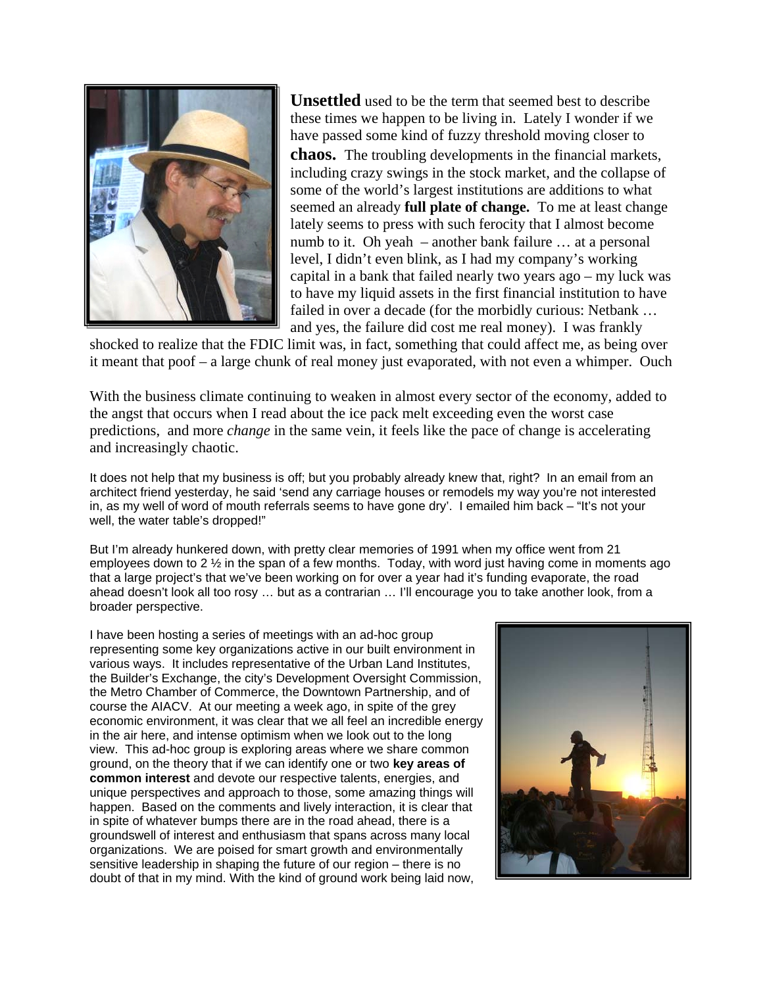

**Unsettled** used to be the term that seemed best to describe these times we happen to be living in. Lately I wonder if we have passed some kind of fuzzy threshold moving closer to **chaos.** The troubling developments in the financial markets, including crazy swings in the stock market, and the collapse of some of the world's largest institutions are additions to what seemed an already **full plate of change.** To me at least change lately seems to press with such ferocity that I almost become numb to it. Oh yeah – another bank failure … at a personal level, I didn't even blink, as I had my company's working capital in a bank that failed nearly two years ago – my luck was to have my liquid assets in the first financial institution to have failed in over a decade (for the morbidly curious: Netbank … and yes, the failure did cost me real money). I was frankly

shocked to realize that the FDIC limit was, in fact, something that could affect me, as being over it meant that poof – a large chunk of real money just evaporated, with not even a whimper. Ouch

With the business climate continuing to weaken in almost every sector of the economy, added to the angst that occurs when I read about the ice pack melt exceeding even the worst case predictions, and more *change* in the same vein, it feels like the pace of change is accelerating and increasingly chaotic.

It does not help that my business is off; but you probably already knew that, right? In an email from an architect friend yesterday, he said 'send any carriage houses or remodels my way you're not interested in, as my well of word of mouth referrals seems to have gone dry'. I emailed him back – "It's not your well, the water table's dropped!"

But I'm already hunkered down, with pretty clear memories of 1991 when my office went from 21 employees down to 2  $\frac{1}{2}$  in the span of a few months. Today, with word just having come in moments ago that a large project's that we've been working on for over a year had it's funding evaporate, the road ahead doesn't look all too rosy … but as a contrarian … I'll encourage you to take another look, from a broader perspective.

I have been hosting a series of meetings with an ad-hoc group representing some key organizations active in our built environment in various ways. It includes representative of the Urban Land Institutes, the Builder's Exchange, the city's Development Oversight Commission, the Metro Chamber of Commerce, the Downtown Partnership, and of course the AIACV. At our meeting a week ago, in spite of the grey economic environment, it was clear that we all feel an incredible energy in the air here, and intense optimism when we look out to the long view. This ad-hoc group is exploring areas where we share common ground, on the theory that if we can identify one or two **key areas of common interest** and devote our respective talents, energies, an d unique perspectives and approach to those, some amazing things will happen. Based on the comments and lively interaction, it is clear that in spite of whatever bumps there are in the road ahead, there is a groundswell of interest and enthusiasm that spans across many local organizations. We are poised for smart growth and environmen tallysensitive leadership in shaping the future of our region – there is no doubt of that in my mind. With the kind of ground work being laid now,